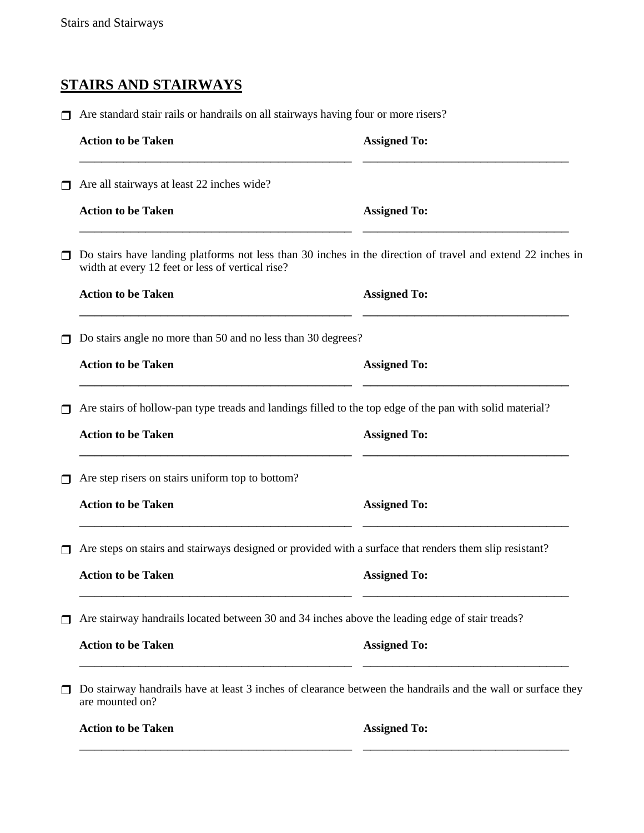## **STAIRS AND STAIRWAYS**

Are standard stair rails or handrails on all stairways having four or more risers?

|   | <b>Action to be Taken</b>                                                                                                                                       | <b>Assigned To:</b> |
|---|-----------------------------------------------------------------------------------------------------------------------------------------------------------------|---------------------|
| ◘ | Are all stairways at least 22 inches wide?                                                                                                                      |                     |
|   | <b>Action to be Taken</b>                                                                                                                                       | <b>Assigned To:</b> |
| 0 | Do stairs have landing platforms not less than 30 inches in the direction of travel and extend 22 inches in<br>width at every 12 feet or less of vertical rise? |                     |
|   | <b>Action to be Taken</b>                                                                                                                                       | <b>Assigned To:</b> |
| □ | Do stairs angle no more than 50 and no less than 30 degrees?                                                                                                    |                     |
|   | <b>Action to be Taken</b>                                                                                                                                       | <b>Assigned To:</b> |
| ⊓ | Are stairs of hollow-pan type treads and landings filled to the top edge of the pan with solid material?                                                        |                     |
|   | <b>Action to be Taken</b>                                                                                                                                       | <b>Assigned To:</b> |
| ◘ | Are step risers on stairs uniform top to bottom?                                                                                                                |                     |
|   | <b>Action to be Taken</b>                                                                                                                                       | <b>Assigned To:</b> |
| ⊓ | Are steps on stairs and stairways designed or provided with a surface that renders them slip resistant?                                                         |                     |
|   | <b>Action to be Taken</b>                                                                                                                                       | <b>Assigned To:</b> |
| ◘ | Are stairway handrails located between 30 and 34 inches above the leading edge of stair treads?                                                                 |                     |
|   | <b>Action to be Taken</b>                                                                                                                                       | <b>Assigned To:</b> |
| ◘ | Do stairway handrails have at least 3 inches of clearance between the handrails and the wall or surface they<br>are mounted on?                                 |                     |
|   | <b>Action to be Taken</b>                                                                                                                                       | <b>Assigned To:</b> |
|   |                                                                                                                                                                 |                     |